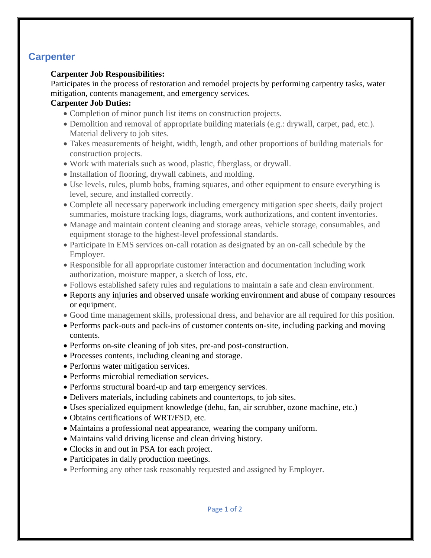# **Carpenter**

#### **Carpenter Job Responsibilities:**

Participates in the process of restoration and remodel projects by performing carpentry tasks, water mitigation, contents management, and emergency services.

### **Carpenter Job Duties:**

- Completion of minor punch list items on construction projects.
- Demolition and removal of appropriate building materials (e.g.: drywall, carpet, pad, etc.). Material delivery to job sites.
- Takes measurements of height, width, length, and other proportions of building materials for construction projects.
- Work with materials such as wood, plastic, fiberglass, or drywall.
- Installation of flooring, drywall cabinets, and molding.
- Use levels, rules, plumb bobs, framing squares, and other equipment to ensure everything is level, secure, and installed correctly.
- Complete all necessary paperwork including emergency mitigation spec sheets, daily project summaries, moisture tracking logs, diagrams, work authorizations, and content inventories.
- Manage and maintain content cleaning and storage areas, vehicle storage, consumables, and equipment storage to the highest-level professional standards.
- Participate in EMS services on-call rotation as designated by an on-call schedule by the Employer.
- Responsible for all appropriate customer interaction and documentation including work authorization, moisture mapper, a sketch of loss, etc.
- Follows established safety rules and regulations to maintain a safe and clean environment.
- Reports any injuries and observed unsafe working environment and abuse of company resources or equipment.
- Good time management skills, professional dress, and behavior are all required for this position.
- Performs pack-outs and pack-ins of customer contents on-site, including packing and moving contents.
- Performs on-site cleaning of job sites, pre-and post-construction.
- Processes contents, including cleaning and storage.
- Performs water mitigation services.
- Performs microbial remediation services.
- Performs structural board-up and tarp emergency services.
- Delivers materials, including cabinets and countertops, to job sites.
- Uses specialized equipment knowledge (dehu, fan, air scrubber, ozone machine, etc.)
- Obtains certifications of WRT/FSD, etc.
- Maintains a professional neat appearance, wearing the company uniform.
- Maintains valid driving license and clean driving history.
- Clocks in and out in PSA for each project.
- Participates in daily production meetings.
- Performing any other task reasonably requested and assigned by Employer.